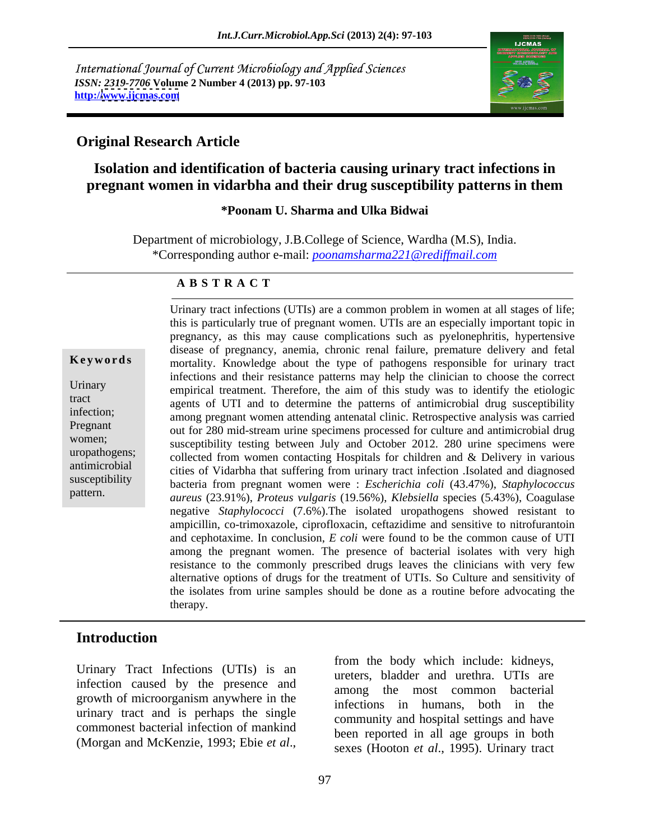International Journal of Current Microbiology and Applied Sciences *ISSN: 2319-7706* **Volume 2 Number 4 (2013) pp. 97-103 http:/[/www.ijcmas.com](http://www.ijcmas.com)**



# **Original Research Article**

# **Isolation and identification of bacteria causing urinary tract infections in pregnant women in vidarbha and their drug susceptibility patterns in them**

## **\*Poonam U. Sharma and Ulka Bidwai**

Department of microbiology, J.B.College of Science, Wardha (M.S), India. \*Corresponding author e-mail: *poonamsharma221@rediffmail.com*

### **A B S T R A C T**

(Morathogens: succeptuolity is<br>sucception women contacting Hospitals for children and & Delivery in various<br>ditineriobial cities of Vidabha that suffering from urinary tract infection .Isolated and diagnosed<br>interesting in extended it is antimicrobial cities of Vidarbha that suffering from urinary tract infection .Isolated and diagnosed **Keywords** mortality. Knowledge about the type of pathogens responsible for urinary tract Urinary empirical treatment. Therefore, the aim of this study was to identify the etiologic tract agents of UTI and to determine the patterns of antimicrobial drug susceptibility infection; among pregnant women attending antenatal clinic. Retrospective analysis was carried Pregnant out for 280 mid-stream urine specimens processed for culture and antimicrobial drug women;<br>susceptibility testing between July and October 2012. 280 urine specimens were uropathogens; collected from women contacting Hospitals for children and & Delivery in various susceptibility bacteria from pregnant women were : *Escherichia coli* (43.47%), *Staphylococcus* Urinary tract infections (UTIs) are a common problem in women at all stages of life;<br>
this is particularly true of pregnant women. UTIs are an especially important topic in<br>
pregnancy, as this may cause complications such this is particularly true of pregnant women. UTIs are an especially important topic in pregnancy, as this may cause complications such as pyelonephritis, hypertensive disease of pregnancy, anemia, chronic renal failure, premature delivery and fetal infections and their resistance patterns may help the clinician to choose the correct *aureus* (23.91%), *Proteus vulgaris* (19.56%), *Klebsiella* species (5.43%), Coagulase negative *Staphylococci* (7.6%).The isolated uropathogens showed resistant to ampicillin, co-trimoxazole, ciprofloxacin, ceftazidime and sensitive to nitrofurantoin and cephotaxime. In conclusion, *E coli* were found to be the common cause of UTI among the pregnant women. The presence of bacterial isolates with very high resistance to the commonly prescribed drugs leaves the clinicians with very few alternative options of drugs for the treatment of UTIs. So Culture and sensitivity of the isolates from urine samples should be done as a routine before advocating the therapy.

## **Introduction**

Urinary Tract Infections (UTIs) is an infection caused by the presence and growth of microorganism anywhere in the urinary tract and is perhaps the single commonest bacterial infection of mankind

from the body which include: kidneys, ureters, bladder and urethra. UTIs are among the most common bacterial infections in humans, both in the community and hospital settings and have been reported in all age groups in both sexes (Hooton *et al*., 1995). Urinary tract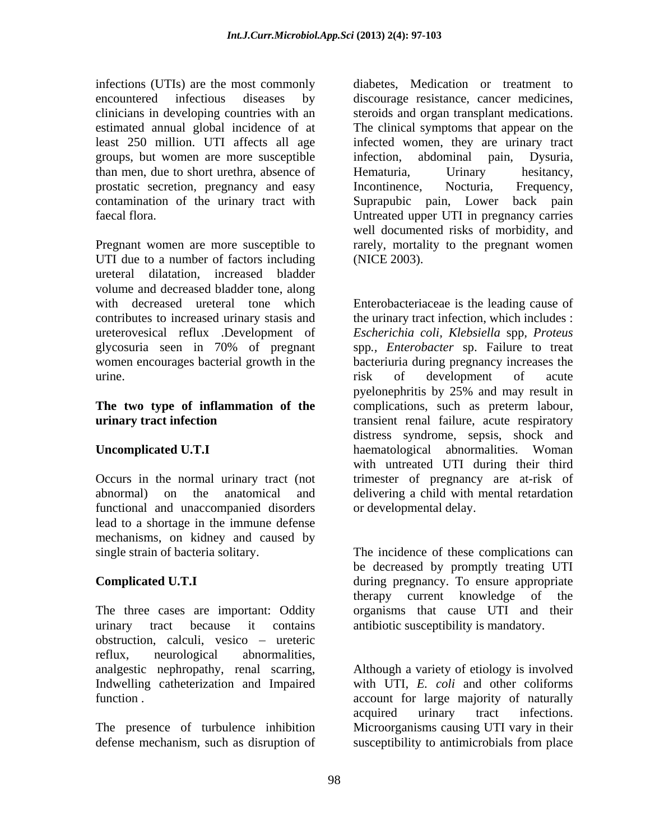infections (UTIs) are the most commonly diabetes, Medication or treatment to encountered infectious diseases by discourage resistance, cancer medicines, clinicians in developing countries with an steroids and organ transplant medications. estimated annual global incidence of at The clinical symptoms that appear on the least 250 million. UTI affects all age infected women, they are urinary tract groups, but women are more susceptible than men, due to short urethra, absence of prostatic secretion, pregnancy and easy Incontinence, Nocturia, Frequency, contamination of the urinary tract with Suprapubic pain, Lower back pain faecal flora. Untreated upper UTI in pregnancy carries

Pregnant women are more susceptible to rarely, mortality to the pregnant women UTI due to a number of factors including (NICE 2003). ureteral dilatation, increased bladder volume and decreased bladder tone, along contributes to increased urinary stasis and urine. The same state of the state of the state of the state of the state of the state of the state of the state

# **The two type of inflammation of the**

functional and unaccompanied disorders lead to a shortage in the immune defense mechanisms, on kidney and caused by

The three cases are important: Oddity obstruction, calculi, vesico – ureteric reflux, neurological abnormalities,

The presence of turbulence inhibition defense mechanism, such as disruption of susceptibility to antimicrobials from place

abdominal pain, Hematuria, Urinary hesitancy, Incontinence, Nocturia, Frequency, well documented risks of morbidity, and (NICE 2003).

with decreased ureteral tone which Enterobacteriaceae is the leading cause of ureterovesical reflux .Development of *Escherichia coli, Klebsiella* spp*, Proteus*  glycosuria seen in 70% of pregnant spp*., Enterobacter* sp. Failure to treat women encourages bacterial growth in the bacteriuria during pregnancy increases the **urinary tract infection transient renal failure**, acute respiratory **Uncomplicated U.T.I** haematological abnormalities. Woman Occurs in the normal urinary tract (not trimester of pregnancy are at-risk of abnormal) on the anatomical and delivering a child with mental retardation the urinary tract infection, which includes : risk of development of acute pyelonephritis by 25% and may result in complications, such as preterm labour, distress syndrome, sepsis, shock and with untreated UTI during their third or developmental delay.

single strain of bacteria solitary. The incidence of these complications can **Complicated U.T.I**  during pregnancy. To ensure appropriate urinary tract because it contains antibiotic susceptibility is mandatory. be decreased by promptly treating UTI therapy current knowledge of the organisms that cause UTI and their

analgestic nephropathy, renal scarring, Although a variety of etiology is involved Indwelling catheterization and Impaired with UTI, *E. coli* and other coliforms function . account for large majority of naturally acquired urinary tract infections. Microorganisms causing UTI vary in their susceptibility to antimicrobials from place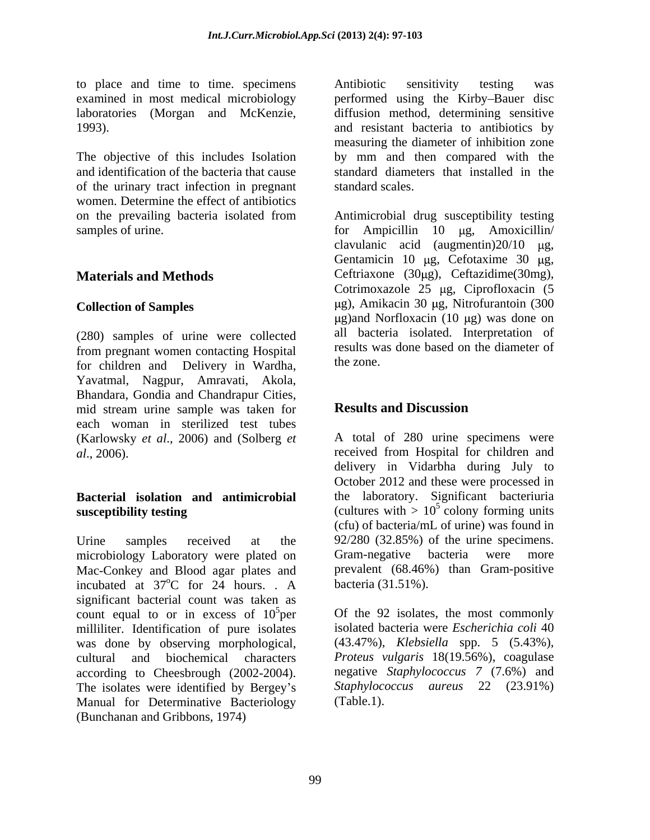to place and time to time. specimens Antibiotic sensitivity testing was

The objective of this includes Isolation and identification of the bacteria that cause of the urinary tract infection in pregnant women. Determine the effect of antibiotics

(280) samples of urine were collected from pregnant women contacting Hospital results we<br>for objection and Dolivery in Wordha the zone. for children and Delivery in Wardha, Yavatmal, Nagpur, Amravati, Akola, Bhandara, Gondia and Chandrapur Cities,<br>
mid stream urine sample was taken for **Results and Discussion** mid stream urine sample was taken for **Results and Discussion** each woman in sterilized test tubes

Urine samples received at the 92/280 (32.85%) of the urine specimens. microbiology Laboratory were plated on Gram-negative bacteria were more Mac-Conkey and Blood agar plates and incubated at  $37^{\circ}$ C for 24 hours. A significant bacterial count was taken as count equal to or in excess of  $10^5$  per milliliter. Identification of pure isolates was done by observing morphological, cultural and biochemical characters according to Cheesbrough (2002-2004). The isolates were identified by Bergey's Manual for Determinative Bacteriology (Bunchanan and Gribbons, 1974)

examined in most medical microbiology berformed using the Kirby-Bauer disc laboratories (Morgan and McKenzie, diffusion method, determining sensitive 1993). and resistant bacteria to antibiotics by Antibiotic sensitivity testing was measuring the diameter of inhibition zone by mm and then compared with the standard diameters that installed in the standard scales.

on the prevailing bacteria isolated from Antimicrobial drug susceptibility testing samples of urine. The samples of urine. The samples of urine. **Materials and Methods** Ceftriaxone (30µg), Ceftazidime(30mg), **Collection of Samples** (*ug*), Amikacin 30 *µg*, Nitrofurantoin (300 clavulanic acid (augmentin) $20/10$  µg, Gentamicin 10  $\mu$ g, Cefotaxime 30  $\mu$ g, Cotrimoxazole  $25 \mu$ g, Ciprofloxacin (5  $\mu$ g)and Norfloxacin (10  $\mu$ g) was done on all bacteria isolated. Interpretation of results was done based on the diameter of the zone.

# **Results and Discussion**

(Karlowsky *et al*., 2006) and (Solberg *et*  A total of 280 urine specimens were *al*., 2006). received from Hospital for children and **Bacterial isolation and antimicrobial** the laboratory. Significant bacteriuria **susceptibility testing**  $\qquad \qquad$  (cultures with  $> 10^5$  colony forming units  $^{\circ}$ C for 24 hours. . A bacteria (31.51%). delivery in Vidarbha during July to October 2012 and these were processed in  $5 \text{ colony forming units}$ (cfu) of bacteria/mL of urine) was found in Gram-negative bacteria were more prevalent (68.46%) than Gram-positive bacteria (31.51%).

 $5<sub>per</sub>$  Of the 92 isolates, the most commonly isolated bacteria were *Escherichia coli* 40 (43.47%), *Klebsiella* spp. 5 (5.43%), *Proteus vulgaris* 18(19.56%), coagulase negative *Staphylococcus 7* (7.6%) and *Staphylococcus aureus* 22 (23.91%) (Table.1).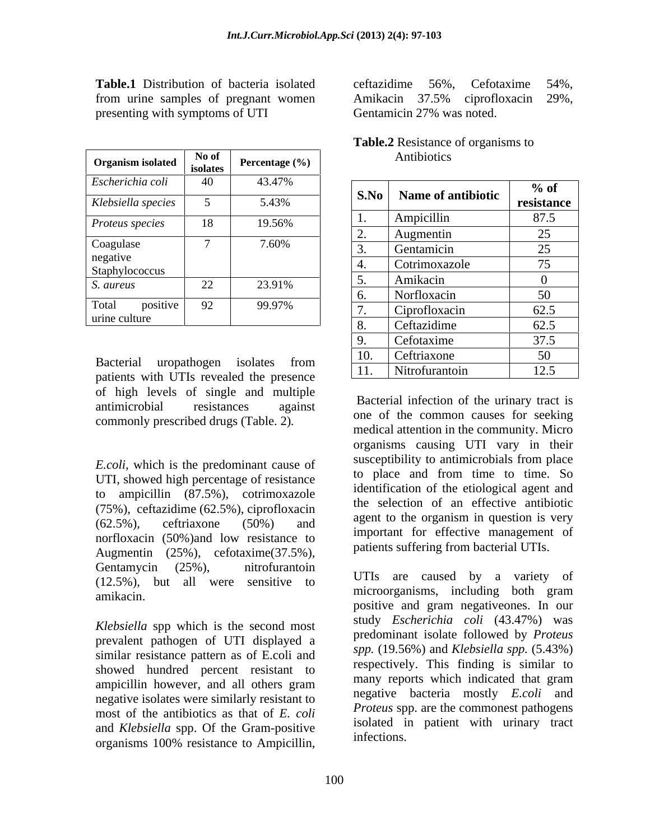| <b>Organism isolated</b> | No of<br>isolates | Percentage $(\% )$ |           | Antibiotics        |            |
|--------------------------|-------------------|--------------------|-----------|--------------------|------------|
| Escherichia coli         | 40                | 43.47%             | S.No      | Name of antibiotic | $%$ of     |
| Klebsiella species       |                   | 5.43%              |           |                    | resistance |
| Proteus species          | 18                | 19.56%             |           | Ampicillin         | 87.5       |
|                          |                   |                    | <u>L.</u> | Augmentin          | 25         |
| Coagulase<br>negative    |                   | 7.60%              |           | Gentamicin         | 25         |
| Staphylococcus           |                   |                    |           | Cotrimoxazole      | 75         |
| S. aureus                | 22                | 23.91%             |           | Amikacin           |            |
|                          |                   |                    |           | Norfloxacin        | 50         |
| Total<br>positive        | 92                | 99.97%             |           | Ciprofloxacin      | 62.5       |
| urine culture            |                   |                    | $\Omega$  | Ceftazidime        | 62.5       |

**Table.1** Distribution of bacteria isolated ceftazidime 56%, Cefotaxime 54%, from urine samples of pregnant women Amikacin 37.5% ciprofloxacin 29%, presenting with symptoms of UTI Gentamicin 27% was noted.

patients with UTIs revealed the presence of high levels of single and multiple commonly prescribed drugs (Table. 2)*.*

*E.coli,* which is the predominant cause of UTI, showed high percentage of resistance to ampicillin (87.5%), cotrimoxazole (75%), ceftazidime (62.5%), ciprofloxacin norfloxacin (50%)and low resistance to Augmentin (25%), cefotaxime(37.5%), Gentamycin (25%), nitrofurantoin  $\overline{I_{\text{LTT}}}$ (12.5%), but all were sensitive to amikacin. amikacin. The sensitive to microorganisms, including both gram

*Klebsiella* spp which is the second most prevalent pathogen of UTI displayed a similar resistance pattern as of E.coli and showed hundred percent resistant to ampicillin however, and all others gram negative isolates were similarly resistant to most of the antibiotics as that of *E. coli* and *Klebsiella* spp. Of the Gram-positive substitutions. organisms 100% resistance to Ampicillin,

ceftazidime 56%, Cefotaxime 54%, Amikacin 37.5% ciprofloxacin 29%,<br>Gentamicin 27% was noted.

| <b>Table</b><br>f organisms to<br>Resistance of |  |
|-------------------------------------------------|--|
| $\cdots$<br>Antibiotics                         |  |

|                                                                                  | 40              |        |                |                           |            |
|----------------------------------------------------------------------------------|-----------------|--------|----------------|---------------------------|------------|
| Escherichia coli                                                                 |                 | 43.47% |                | S.No   Name of antibiotic | $\%$ of    |
| Klebsiella species                                                               |                 | 5.43%  |                |                           | resistance |
| Proteus species                                                                  | 18              | 19.56% | $\mathbf{I}$ . | Ampicillin                | 87.5       |
|                                                                                  |                 |        | <u>L.</u>      | <b>Augmentin</b>          | 25         |
| Coagulase                                                                        |                 | 7.60%  |                | Gentamicin                | 25         |
| negative<br>Staphylococcus                                                       |                 |        |                | Cotrimoxazole             | 75         |
| S. aureus                                                                        | 22              | 23.91% |                | Amikacin                  |            |
|                                                                                  |                 |        |                | Norfloxacin               | 50         |
| Total<br>positive                                                                | 92 <sub>o</sub> | 99.97% |                | Ciprofloxacin             | 62.5       |
| urine culture                                                                    |                 |        |                | Ceftazidime               | 62.5       |
|                                                                                  |                 |        |                | Cefotaxime                | 37.5       |
|                                                                                  |                 |        |                | Ceftriaxone               | 50         |
| Bacterial uropathogen isolates from<br>patients with ITTIs revealed the presence |                 |        | 11.            | Nitrofurantoin            | 12.5       |
|                                                                                  |                 |        |                |                           |            |

antimicrobial resistances against **Dacterial Intection of the utiliary tract** is  $(62.5\%)$ , ceftriaxone  $(50\%)$  and agent to the organism in question is very Bacterial infection of the urinary tract is one of the common causes for seeking medical attention in the community. Micro organisms causing UTI vary in their susceptibility to antimicrobials from place to place and from time to time. So identification of the etiological agent and the selection of an effective antibiotic agent to the organism in question is very important for effective management of patients suffering from bacterial UTIs.

> UTIs are caused by a variety of microorganisms, including both gram positive and gram negativeones. In our study *Escherichia coli* (43.47%) was predominant isolate followed by *Proteus spp.* (19.56%) and *Klebsiella spp.* (5.43%) respectively. This finding is similar to many reports which indicated that gram negative bacteria mostly *E.coli* and *Proteus* spp. are the commonest pathogens isolated in patient with urinary tract infections.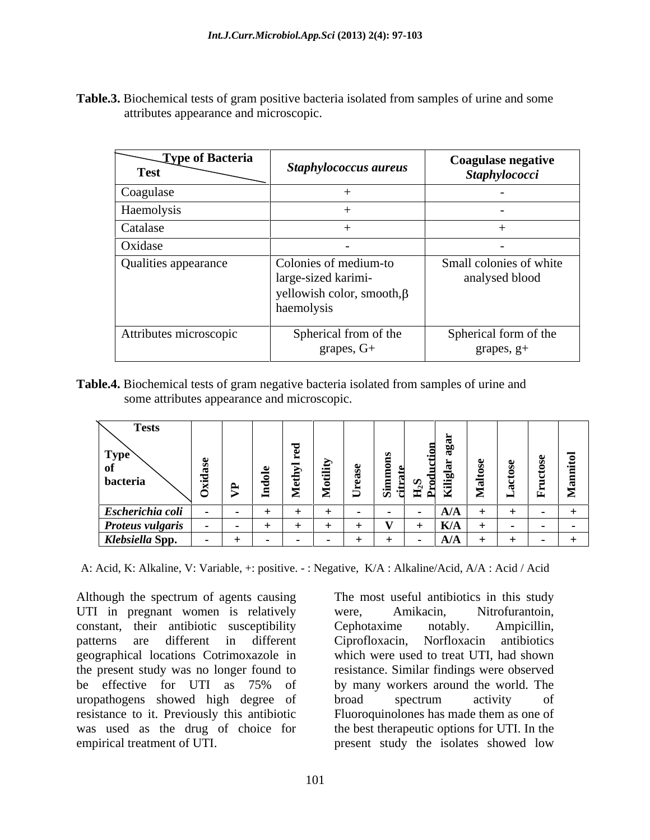**Table.3.** Biochemical tests of gram positive bacteria isolated from samples of urine and some attributes appearance and microscopic.

| Type of Bacteria<br><b>Test</b> | <b>Staphylococcus aureus</b>                                                                   | <b>Coagulase negative</b><br><b>Staphylococci</b> |
|---------------------------------|------------------------------------------------------------------------------------------------|---------------------------------------------------|
| Coagulase                       |                                                                                                |                                                   |
| Haemolysis                      |                                                                                                |                                                   |
| Catalase                        |                                                                                                |                                                   |
| Oxidase                         |                                                                                                |                                                   |
| Qualities appearance            | Colonies of medium-to<br>large-sized karimi-<br>yellowish color, smooth, $\beta$<br>haemolysis | Small colonies of white<br>analysed blood         |
| Attributes microscopic          | Spherical from of the<br>grapes, G+                                                            | Spherical form of the<br>grapes, g+               |

**Table.4.** Biochemical tests of gram negative bacteria isolated from samples of urine and some attributes appearance and microscopic.

A: Acid, K: Alkaline, V: Variable, +: positive. - : Negative, K/A : Alkaline/Acid, A/A : Acid / Acid

Although the spectrum of agents causing The most useful antibiotics in this study UTI in pregnant women is relatively were, Amikacin, Nitrofurantoin, constant, their antibiotic susceptibility Cephotaxime notably. Ampicillin, patterns are different in different geographical locations Cotrimoxazole in the present study was no longer found to resistance. Similar findings were observed be effective for UTI as 75% of by many workers around the world. The uropathogens showed high degree of broad spectrum activity of resistance to it. Previously this antibiotic Fluoroquinolones has made them as one of was used as the drug of choice for the best therapeutic options for UTI. In the empirical treatment of UTI. present study the isolates showed low

were, Amikacin, Nitrofurantoin, Cephotaxime notably. Ampicillin, Ciprofloxacin, Norfloxacin antibiotics which were used to treat UTI, had shown by many workers around the world. The broad spectrum activity of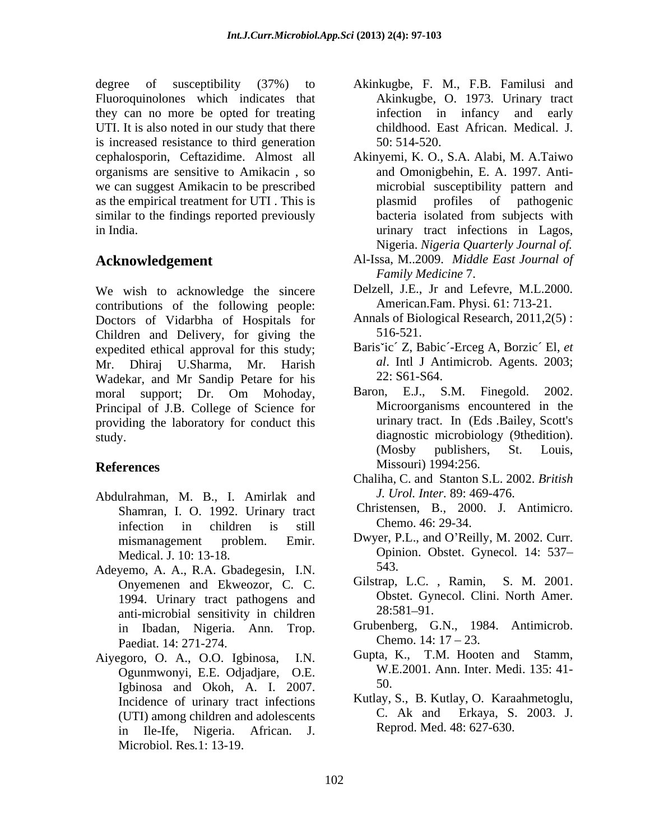degree of susceptibility (37%) to Akinkugbe, F. M., F.B. Familusi and Fluoroquinolones which indicates that they can no more be opted for treating UTI. It is also noted in our study that there is increased resistance to third generation 50: 514-520. organisms are sensitive to Amikacin , so we can suggest Amikacin to be prescribed as the empirical treatment for UTI . This is similar to the findings reported previously bacteria isolated from subjects with

We wish to acknowledge the sincere contributions of the following people: Doctors of Vidarbha of Hospitals for Annals of Bio<br>Children and Delivery for giving the 516-521. Children and Delivery, for giving the expedited ethical approval for this study; Mr. Dhiraj U.Sharma, Mr. Harish al. Intl J An<br>Wadekar and Mr. Sandin Petare for his 22: S61-S64. Wadekar, and Mr Sandip Petare for his <br>moral support: Dr Om Mohoday Baron, E.J., S.M. Finegold. 2002. moral support; Dr. Om Mohoday, Baron, E.J., S.M. Finegold. 2002.<br>Principal of J.B. College of Science for Microorganisms encountered in the providing the laboratory for conduct this study. diagnostic microbiology (9thedition).

- Abdulrahman, M. B., I. Amirlak and Shamran, I. O. 1992. Urinary tract infection in children is still Chemo. 46: 29-34.
- Adeyemo, A. A., R.A. Gbadegesin, I.N. 543.<br>Onvemenen and Ekwegzor C. C. Gilstrap, L.C., Ramin, S. M. 2001. Onyemenen and Ekweozor, C. C. 1994. Urinary tract pathogens and Ubstet. Gyposternal Ubstet. Comparison of the contract of the contract of the contract of the contract of the contract of the contract of the contract of the contract of the contract of th anti-microbial sensitivity in children in Ibadan, Nigeria. Ann. Trop. Paediat. 14: 271-274. Chemo. 14:  $17-23$ .<br>Pacto O. A. O.O. Johnness J. N. Gupta, K., T.M. Hooten and Stamm.
- Aiyegoro, O. A., O.O. Igbinosa, I.N. Ogunmwonyi, E.E. Odjadjare, O.E. W.I.<br>Johinosa and Okoh A J 2007 50. Igbinosa and Okoh, A. I. 2007. (UTI) among children and adolescents in Ile-Ife, Nigeria. African. J. Microbiol. Res*.*1: 13-19.
- Akinkugbe, O. 1973. Urinary tract infection in infancy and early childhood. East African. Medical. J. 50: 514-520.
- cephalosporin, Ceftazidime. Almost all Akinyemi, K. O., S.A. Alabi, M. A.Taiwo in India. urinary tract infections in Lagos, and Omonigbehin, E. A. 1997. Anti microbial susceptibility pattern and plasmid profiles of pathogenic bacteria isolated from subjects with Nigeria. *Nigeria Quarterly Journal of.*
- **Acknowledgement** Al-Issa, M..2009. *Middle East Journal of Family Medicine* 7.
	- Delzell, J.E., Jr and Lefevre, M.L.2000. American.Fam. Physi. 61: 713-21.
	- Annals of Biological Research, 2011,2(5) : 516-521.
	- Baris ic´ Z, Babic´-Erceg A, Borzic´ El, *et al*. Intl J Antimicrob. Agents. 2003; 22: S61-S64.
- **References** Missouri) 1994:256. Baron, E.J., S.M. Finegold. 2002. Microorganisms encountered in the urinary tract. In (Eds .Bailey, Scott's (Mosby publishers, St. Louis, Missouri) 1994:256.
	- Chaliha, C. and Stanton S.L. 2002. *British J. Urol. Inter.* 89: 469-476.
	- Christensen, B., 2000. J. Antimicro. Chemo. 46: 29-34.
	- mismanagement problem. Emir. Dwyer, P.L., and O Reilly, M. 2002. Curr. Medical. J. 10: 13-18. Opinion. Obstet. Gynecol*.* 14: 537 543.
		- Gilstrap, L.C., Ramin, Obstet. Gynecol. Clini. North Amer. 28:581 91.
		- Grubenberg, G.N., 1984. Antimicrob. Chemo.  $14: 17 - 23$ .
		- Gupta, K., T.M. Hooten and W.E.2001. Ann. Inter. Medi. 135: 41- 50.
	- Incidence of urinary tract infections Kutlay, S., B. Kutlay, O. Karaahmetoglu, (ITD among children and adolescents C. Ak and Erkaya, S. 2003. J. Kutlay, S., B. Kutlay, O. Karaahmetoglu, C. Ak and Erkaya, S. 2003. J. Reprod. Med. 48: 627-630.